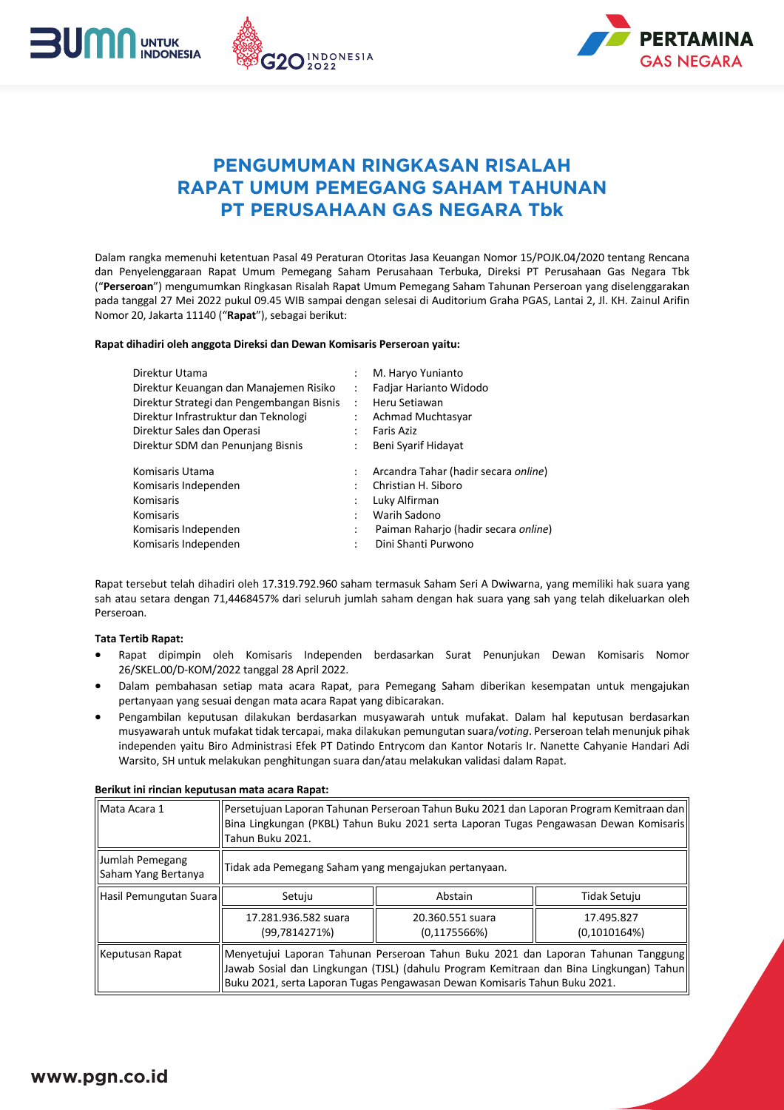



# **PENGUMUMAN RINGKASAN RISALAH RAPAT UMUM PEMEGANG SAHAM TAHUNAN PT PERUSAHAAN GAS NEGARA Tbk**

Dalam rangka memenuhi ketentuan Pasal 49 Peraturan Otoritas Jasa Keuangan Nomor 15/POJK.04/2020 tentang Rencana dan Penyelenggaraan Rapat Umum Pemegang Saham Perusahaan Terbuka, Direksi PT Perusahaan Gas Negara Tbk ("Perseroan") mengumumkan Ringkasan Risalah Rapat Umum Pemegang Saham Tahunan Perseroan yang diselenggarakan pada tanggal 27 Mei 2022 pukul 09.45 WIB sampai dengan selesai di Auditorium Graha PGAS, Lantai 2, Jl. KH. Zainul Arifin Nomor 20, Jakarta 11140 ("Rapat"), sebagai berikut:

## Rapat dihadiri oleh anggota Direksi dan Dewan Komisaris Perseroan yaitu:

| Direktur Utama                            |                      | M. Haryo Yunianto                    |  |
|-------------------------------------------|----------------------|--------------------------------------|--|
| Direktur Keuangan dan Manajemen Risiko    |                      | Fadjar Harianto Widodo               |  |
| Direktur Strategi dan Pengembangan Bisnis | $\ddot{\phantom{a}}$ | Heru Setiawan                        |  |
| Direktur Infrastruktur dan Teknologi      |                      | Achmad Muchtasyar                    |  |
| Direktur Sales dan Operasi                |                      | <b>Faris Aziz</b>                    |  |
| Direktur SDM dan Penunjang Bisnis         |                      | Beni Syarif Hidayat                  |  |
| Komisaris Utama                           |                      | Arcandra Tahar (hadir secara online) |  |
| Komisaris Independen                      |                      | Christian H. Siboro                  |  |
| Komisaris                                 |                      | Luky Alfirman                        |  |
| Komisaris                                 |                      | Warih Sadono                         |  |
| Komisaris Independen                      | ٠                    | Paiman Raharjo (hadir secara online) |  |
| Komisaris Independen                      |                      | Dini Shanti Purwono                  |  |
|                                           |                      |                                      |  |

Rapat tersebut telah dihadiri oleh 17.319.792.960 saham termasuk Saham Seri A Dwiwarna, yang memiliki hak suara yang sah atau setara dengan 71,4468457% dari seluruh jumlah saham dengan hak suara yang sah yang telah dikeluarkan oleh Perseroan.

## **Tata Tertib Rapat:**

- Rapat dipimpin oleh Komisaris Independen berdasarkan Surat Penunjukan Dewan Komisaris Nomor 26/SKEL.00/D-KOM/2022 tanggal 28 April 2022.
- Dalam pembahasan setiap mata acara Rapat, para Pemegang Saham diberikan kesempatan untuk mengajukan pertanyaan yang sesuai dengan mata acara Rapat yang dibicarakan.
- Pengambilan keputusan dilakukan berdasarkan musyawarah untuk mufakat. Dalam hal keputusan berdasarkan musyawarah untuk mufakat tidak tercapai, maka dilakukan pemungutan suara/voting. Perseroan telah menunjuk pihak independen yaitu Biro Administrasi Efek PT Datindo Entrycom dan Kantor Notaris Ir. Nanette Cahyanie Handari Adi Warsito, SH untuk melakukan penghitungan suara dan/atau melakukan validasi dalam Rapat.

| Berikut ini rincian keputusan mata acara Rapat: |  |
|-------------------------------------------------|--|
|-------------------------------------------------|--|

| Mata Acara 1                           | Persetujuan Laporan Tahunan Perseroan Tahun Buku 2021 dan Laporan Program Kemitraan dan  <br>Bina Lingkungan (PKBL) Tahun Buku 2021 serta Laporan Tugas Pengawasan Dewan Komisaris <br>Tahun Buku 2021.                                                     |                                   |                            |  |
|----------------------------------------|-------------------------------------------------------------------------------------------------------------------------------------------------------------------------------------------------------------------------------------------------------------|-----------------------------------|----------------------------|--|
| Jumlah Pemegang<br>Saham Yang Bertanya | Tidak ada Pemegang Saham yang mengajukan pertanyaan.                                                                                                                                                                                                        |                                   |                            |  |
| Hasil Pemungutan Suara                 | Setuju                                                                                                                                                                                                                                                      | Abstain                           | Tidak Setuju               |  |
|                                        | 17.281.936.582 suara<br>(99,7814271%)                                                                                                                                                                                                                       | 20.360.551 suara<br>(0, 1175566%) | 17.495.827<br>(0,1010164%) |  |
| Keputusan Rapat                        | Menyetujui Laporan Tahunan Perseroan Tahun Buku 2021 dan Laporan Tahunan Tanggung<br>Jawab Sosial dan Lingkungan (TJSL) (dahulu Program Kemitraan dan Bina Lingkungan) Tahun <br>Buku 2021, serta Laporan Tugas Pengawasan Dewan Komisaris Tahun Buku 2021. |                                   |                            |  |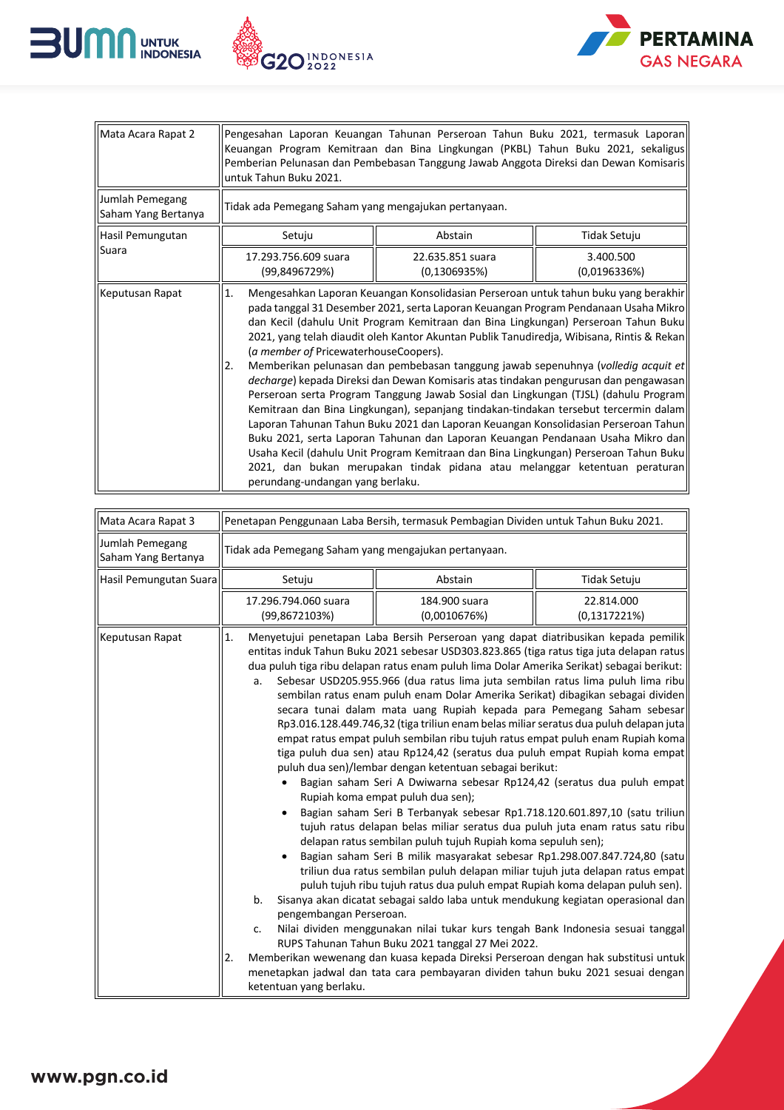





| Mata Acara Rapat 2                     | Pengesahan Laporan Keuangan Tahunan Perseroan Tahun Buku 2021, termasuk Laporan<br>Keuangan Program Kemitraan dan Bina Lingkungan (PKBL) Tahun Buku 2021, sekaligus<br>Pemberian Pelunasan dan Pembebasan Tanggung Jawab Anggota Direksi dan Dewan Komisaris<br>untuk Tahun Buku 2021.                                                                                                                                                                                                                                                                                                                                                                                                                                                                                                                                                                                                                                                                                                                                                                                                                                        |                                   |                           |
|----------------------------------------|-------------------------------------------------------------------------------------------------------------------------------------------------------------------------------------------------------------------------------------------------------------------------------------------------------------------------------------------------------------------------------------------------------------------------------------------------------------------------------------------------------------------------------------------------------------------------------------------------------------------------------------------------------------------------------------------------------------------------------------------------------------------------------------------------------------------------------------------------------------------------------------------------------------------------------------------------------------------------------------------------------------------------------------------------------------------------------------------------------------------------------|-----------------------------------|---------------------------|
| Jumlah Pemegang<br>Saham Yang Bertanya | Tidak ada Pemegang Saham yang mengajukan pertanyaan.                                                                                                                                                                                                                                                                                                                                                                                                                                                                                                                                                                                                                                                                                                                                                                                                                                                                                                                                                                                                                                                                          |                                   |                           |
| Hasil Pemungutan                       | Setuju                                                                                                                                                                                                                                                                                                                                                                                                                                                                                                                                                                                                                                                                                                                                                                                                                                                                                                                                                                                                                                                                                                                        | Abstain                           | Tidak Setuju              |
| Suara                                  | 17.293.756.609 suara<br>(99,8496729%)                                                                                                                                                                                                                                                                                                                                                                                                                                                                                                                                                                                                                                                                                                                                                                                                                                                                                                                                                                                                                                                                                         | 22.635.851 suara<br>(0, 1306935%) | 3.400.500<br>(0,0196336%) |
| Keputusan Rapat                        | Mengesahkan Laporan Keuangan Konsolidasian Perseroan untuk tahun buku yang berakhir<br>1.<br>pada tanggal 31 Desember 2021, serta Laporan Keuangan Program Pendanaan Usaha Mikro<br>dan Kecil (dahulu Unit Program Kemitraan dan Bina Lingkungan) Perseroan Tahun Buku<br>2021, yang telah diaudit oleh Kantor Akuntan Publik Tanudiredja, Wibisana, Rintis & Rekan<br>(a member of PricewaterhouseCoopers).<br>Memberikan pelunasan dan pembebasan tanggung jawab sepenuhnya (volledig acquit et<br>2.<br>decharge) kepada Direksi dan Dewan Komisaris atas tindakan pengurusan dan pengawasan<br>Perseroan serta Program Tanggung Jawab Sosial dan Lingkungan (TJSL) (dahulu Program<br>Kemitraan dan Bina Lingkungan), sepanjang tindakan-tindakan tersebut tercermin dalam<br>Laporan Tahunan Tahun Buku 2021 dan Laporan Keuangan Konsolidasian Perseroan Tahun<br>Buku 2021, serta Laporan Tahunan dan Laporan Keuangan Pendanaan Usaha Mikro dan<br>Usaha Kecil (dahulu Unit Program Kemitraan dan Bina Lingkungan) Perseroan Tahun Buku<br>2021, dan bukan merupakan tindak pidana atau melanggar ketentuan peraturan |                                   |                           |

| Mata Acara Rapat 3                     | Penetapan Penggunaan Laba Bersih, termasuk Pembagian Dividen untuk Tahun Buku 2021.                                                                                                                                                                                                                                                                                                                                                                                                                                                                                                                                                                                                                                                                                                                                                                                                                                                                                                                                                                                                                                                                                                                                                                                                                                                                                                                                                                                                                                                                                                                                                                                                                                                                                                                                                                                                                          |                               |                            |  |
|----------------------------------------|--------------------------------------------------------------------------------------------------------------------------------------------------------------------------------------------------------------------------------------------------------------------------------------------------------------------------------------------------------------------------------------------------------------------------------------------------------------------------------------------------------------------------------------------------------------------------------------------------------------------------------------------------------------------------------------------------------------------------------------------------------------------------------------------------------------------------------------------------------------------------------------------------------------------------------------------------------------------------------------------------------------------------------------------------------------------------------------------------------------------------------------------------------------------------------------------------------------------------------------------------------------------------------------------------------------------------------------------------------------------------------------------------------------------------------------------------------------------------------------------------------------------------------------------------------------------------------------------------------------------------------------------------------------------------------------------------------------------------------------------------------------------------------------------------------------------------------------------------------------------------------------------------------------|-------------------------------|----------------------------|--|
| Jumlah Pemegang<br>Saham Yang Bertanya | Tidak ada Pemegang Saham yang mengajukan pertanyaan.                                                                                                                                                                                                                                                                                                                                                                                                                                                                                                                                                                                                                                                                                                                                                                                                                                                                                                                                                                                                                                                                                                                                                                                                                                                                                                                                                                                                                                                                                                                                                                                                                                                                                                                                                                                                                                                         |                               |                            |  |
| Hasil Pemungutan Suara                 | Setuju                                                                                                                                                                                                                                                                                                                                                                                                                                                                                                                                                                                                                                                                                                                                                                                                                                                                                                                                                                                                                                                                                                                                                                                                                                                                                                                                                                                                                                                                                                                                                                                                                                                                                                                                                                                                                                                                                                       | Abstain<br>Tidak Setuju       |                            |  |
|                                        | 17.296.794.060 suara<br>(99,8672103%)                                                                                                                                                                                                                                                                                                                                                                                                                                                                                                                                                                                                                                                                                                                                                                                                                                                                                                                                                                                                                                                                                                                                                                                                                                                                                                                                                                                                                                                                                                                                                                                                                                                                                                                                                                                                                                                                        | 184.900 suara<br>(0,0010676%) | 22.814.000<br>(0,1317221%) |  |
| Keputusan Rapat                        | Menyetujui penetapan Laba Bersih Perseroan yang dapat diatribusikan kepada pemilik<br>1.<br>entitas induk Tahun Buku 2021 sebesar USD303.823.865 (tiga ratus tiga juta delapan ratus<br>dua puluh tiga ribu delapan ratus enam puluh lima Dolar Amerika Serikat) sebagai berikut:<br>Sebesar USD205.955.966 (dua ratus lima juta sembilan ratus lima puluh lima ribu<br>a.<br>sembilan ratus enam puluh enam Dolar Amerika Serikat) dibagikan sebagai dividen<br>secara tunai dalam mata uang Rupiah kepada para Pemegang Saham sebesar<br>Rp3.016.128.449.746,32 (tiga triliun enam belas miliar seratus dua puluh delapan juta<br>empat ratus empat puluh sembilan ribu tujuh ratus empat puluh enam Rupiah koma<br>tiga puluh dua sen) atau Rp124,42 (seratus dua puluh empat Rupiah koma empat<br>puluh dua sen)/lembar dengan ketentuan sebagai berikut:<br>Bagian saham Seri A Dwiwarna sebesar Rp124,42 (seratus dua puluh empat<br>Rupiah koma empat puluh dua sen);<br>Bagian saham Seri B Terbanyak sebesar Rp1.718.120.601.897,10 (satu triliun<br>tujuh ratus delapan belas miliar seratus dua puluh juta enam ratus satu ribu<br>delapan ratus sembilan puluh tujuh Rupiah koma sepuluh sen);<br>Bagian saham Seri B milik masyarakat sebesar Rp1.298.007.847.724,80 (satu<br>triliun dua ratus sembilan puluh delapan miliar tujuh juta delapan ratus empat<br>puluh tujuh ribu tujuh ratus dua puluh empat Rupiah koma delapan puluh sen).<br>b.<br>Sisanya akan dicatat sebagai saldo laba untuk mendukung kegiatan operasional dan<br>pengembangan Perseroan.<br>Nilai dividen menggunakan nilai tukar kurs tengah Bank Indonesia sesuai tanggal<br>c.<br>RUPS Tahunan Tahun Buku 2021 tanggal 27 Mei 2022.<br>Memberikan wewenang dan kuasa kepada Direksi Perseroan dengan hak substitusi untuk<br>2.<br>menetapkan jadwal dan tata cara pembayaran dividen tahun buku 2021 sesuai dengan |                               |                            |  |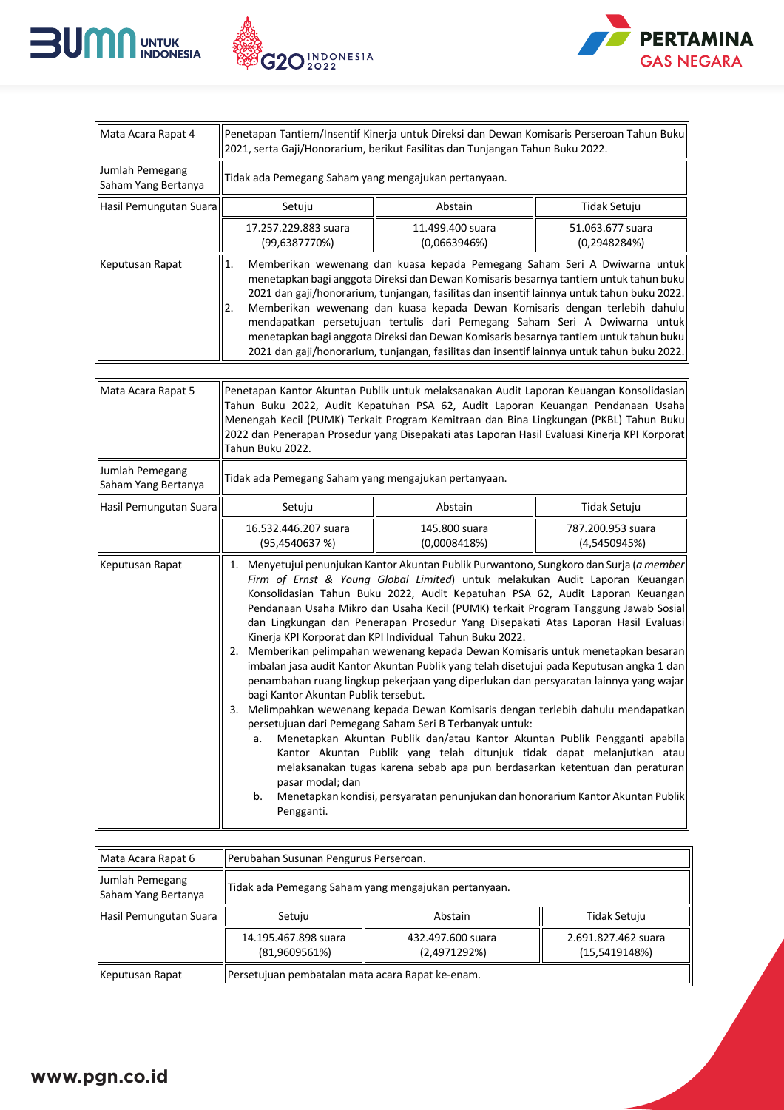





| Mata Acara Rapat 4                     | Penetapan Tantiem/Insentif Kinerja untuk Direksi dan Dewan Komisaris Perseroan Tahun Buku<br>2021, serta Gaji/Honorarium, berikut Fasilitas dan Tunjangan Tahun Buku 2022.                                                                                                                                                                                                                                                                                                                                                                                                                                                                                                                                                                                                                                                                                                                                                                                                                                                                                                                                                                                                                                                                                                                                                                   |                                  |                                   |  |
|----------------------------------------|----------------------------------------------------------------------------------------------------------------------------------------------------------------------------------------------------------------------------------------------------------------------------------------------------------------------------------------------------------------------------------------------------------------------------------------------------------------------------------------------------------------------------------------------------------------------------------------------------------------------------------------------------------------------------------------------------------------------------------------------------------------------------------------------------------------------------------------------------------------------------------------------------------------------------------------------------------------------------------------------------------------------------------------------------------------------------------------------------------------------------------------------------------------------------------------------------------------------------------------------------------------------------------------------------------------------------------------------|----------------------------------|-----------------------------------|--|
| Jumlah Pemegang<br>Saham Yang Bertanya | Tidak ada Pemegang Saham yang mengajukan pertanyaan.                                                                                                                                                                                                                                                                                                                                                                                                                                                                                                                                                                                                                                                                                                                                                                                                                                                                                                                                                                                                                                                                                                                                                                                                                                                                                         |                                  |                                   |  |
| Hasil Pemungutan Suara                 | Setuju                                                                                                                                                                                                                                                                                                                                                                                                                                                                                                                                                                                                                                                                                                                                                                                                                                                                                                                                                                                                                                                                                                                                                                                                                                                                                                                                       | Abstain                          | Tidak Setuju                      |  |
|                                        | 17.257.229.883 suara<br>(99,6387770%)                                                                                                                                                                                                                                                                                                                                                                                                                                                                                                                                                                                                                                                                                                                                                                                                                                                                                                                                                                                                                                                                                                                                                                                                                                                                                                        | 11.499.400 suara<br>(0,0663946%) | 51.063.677 suara<br>(0, 2948284%) |  |
| Keputusan Rapat                        | Memberikan wewenang dan kuasa kepada Pemegang Saham Seri A Dwiwarna untuk<br>1.<br>menetapkan bagi anggota Direksi dan Dewan Komisaris besarnya tantiem untuk tahun buku<br>2021 dan gaji/honorarium, tunjangan, fasilitas dan insentif lainnya untuk tahun buku 2022.<br>Memberikan wewenang dan kuasa kepada Dewan Komisaris dengan terlebih dahulu<br>2.<br>mendapatkan persetujuan tertulis dari Pemegang Saham Seri A Dwiwarna untuk<br>menetapkan bagi anggota Direksi dan Dewan Komisaris besarnya tantiem untuk tahun buku<br>2021 dan gaji/honorarium, tunjangan, fasilitas dan insentif lainnya untuk tahun buku 2022.                                                                                                                                                                                                                                                                                                                                                                                                                                                                                                                                                                                                                                                                                                             |                                  |                                   |  |
| Mata Acara Rapat 5                     | Penetapan Kantor Akuntan Publik untuk melaksanakan Audit Laporan Keuangan Konsolidasian<br>Tahun Buku 2022, Audit Kepatuhan PSA 62, Audit Laporan Keuangan Pendanaan Usaha<br>Menengah Kecil (PUMK) Terkait Program Kemitraan dan Bina Lingkungan (PKBL) Tahun Buku<br>2022 dan Penerapan Prosedur yang Disepakati atas Laporan Hasil Evaluasi Kinerja KPI Korporat<br>Tahun Buku 2022.                                                                                                                                                                                                                                                                                                                                                                                                                                                                                                                                                                                                                                                                                                                                                                                                                                                                                                                                                      |                                  |                                   |  |
| Jumlah Pemegang<br>Saham Yang Bertanya | Tidak ada Pemegang Saham yang mengajukan pertanyaan.                                                                                                                                                                                                                                                                                                                                                                                                                                                                                                                                                                                                                                                                                                                                                                                                                                                                                                                                                                                                                                                                                                                                                                                                                                                                                         |                                  |                                   |  |
| Hasil Pemungutan Suara                 | Setuju                                                                                                                                                                                                                                                                                                                                                                                                                                                                                                                                                                                                                                                                                                                                                                                                                                                                                                                                                                                                                                                                                                                                                                                                                                                                                                                                       | Abstain                          | Tidak Setuju                      |  |
|                                        | 16.532.446.207 suara<br>(95,4540637%)                                                                                                                                                                                                                                                                                                                                                                                                                                                                                                                                                                                                                                                                                                                                                                                                                                                                                                                                                                                                                                                                                                                                                                                                                                                                                                        | 145.800 suara<br>(0,0008418%)    | 787.200.953 suara<br>(4,5450945%) |  |
| Keputusan Rapat                        | 1. Menyetujui penunjukan Kantor Akuntan Publik Purwantono, Sungkoro dan Surja (a member<br>Firm of Ernst & Young Global Limited) untuk melakukan Audit Laporan Keuangan<br>Konsolidasian Tahun Buku 2022, Audit Kepatuhan PSA 62, Audit Laporan Keuangan<br>Pendanaan Usaha Mikro dan Usaha Kecil (PUMK) terkait Program Tanggung Jawab Sosial<br>dan Lingkungan dan Penerapan Prosedur Yang Disepakati Atas Laporan Hasil Evaluasi<br>Kinerja KPI Korporat dan KPI Individual Tahun Buku 2022.<br>2. Memberikan pelimpahan wewenang kepada Dewan Komisaris untuk menetapkan besaran<br>imbalan jasa audit Kantor Akuntan Publik yang telah disetujui pada Keputusan angka 1 dan<br>penambahan ruang lingkup pekerjaan yang diperlukan dan persyaratan lainnya yang wajar<br>bagi Kantor Akuntan Publik tersebut.<br>3.<br>Melimpahkan wewenang kepada Dewan Komisaris dengan terlebih dahulu mendapatkan<br>persetujuan dari Pemegang Saham Seri B Terbanyak untuk:<br>Menetapkan Akuntan Publik dan/atau Kantor Akuntan Publik Pengganti apabila<br>a.<br>Kantor Akuntan Publik yang telah ditunjuk tidak dapat melanjutkan atau<br>melaksanakan tugas karena sebab apa pun berdasarkan ketentuan dan peraturan<br>pasar modal; dan<br>Menetapkan kondisi, persyaratan penunjukan dan honorarium Kantor Akuntan Publik<br>b.<br>Pengganti. |                                  |                                   |  |

| Mata Acara Rapat 6                     | <b>I</b> Perubahan Susunan Pengurus Perseroan.       |                                   |                                      |
|----------------------------------------|------------------------------------------------------|-----------------------------------|--------------------------------------|
| Jumlah Pemegang<br>Saham Yang Bertanya | Tidak ada Pemegang Saham yang mengajukan pertanyaan. |                                   |                                      |
| Hasil Pemungutan Suara                 | Setuju                                               | Abstain                           | Tidak Setuju                         |
|                                        | 14.195.467.898 suara<br>$(81,9609561\%)$             | 432.497.600 suara<br>(2,4971292%) | 2.691.827.462 suara<br>(15,5419148%) |
| Keputusan Rapat                        | Persetujuan pembatalan mata acara Rapat ke-enam.     |                                   |                                      |